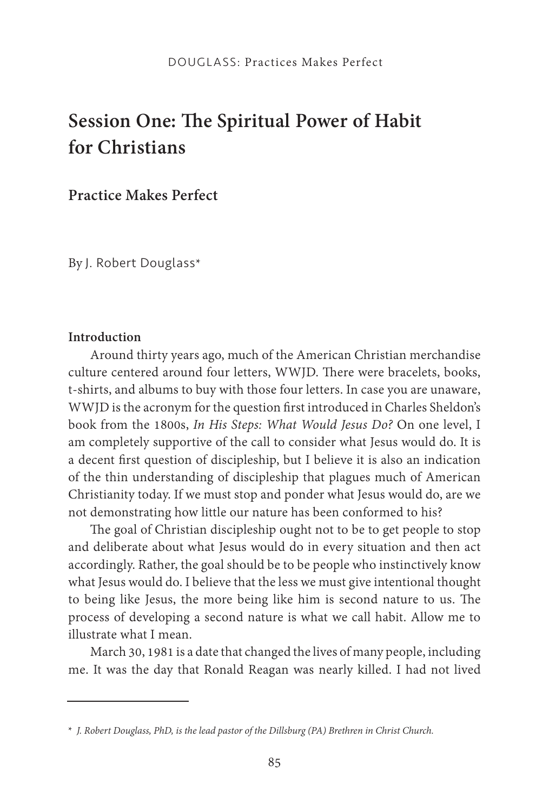# **Session One: !e Spiritual Power of Habit for Christians**

**Practice Makes Perfect**

By J. Robert Douglass\*

# **Introduction**

Around thirty years ago, much of the American Christian merchandise culture centered around four letters, WWJD. There were bracelets, books, t-shirts, and albums to buy with those four letters. In case you are unaware, WWJD is the acronym for the question first introduced in Charles Sheldon's book from the 1800s, *In His Steps: What Would Jesus Do?* On one level, I am completely supportive of the call to consider what Jesus would do. It is a decent first question of discipleship, but I believe it is also an indication of the thin understanding of discipleship that plagues much of American Christianity today. If we must stop and ponder what Jesus would do, are we not demonstrating how little our nature has been conformed to his?

The goal of Christian discipleship ought not to be to get people to stop and deliberate about what Jesus would do in every situation and then act accordingly. Rather, the goal should be to be people who instinctively know what Jesus would do. I believe that the less we must give intentional thought to being like Jesus, the more being like him is second nature to us. The process of developing a second nature is what we call habit. Allow me to illustrate what I mean.

March 30, 1981 is a date that changed the lives of many people, including me. It was the day that Ronald Reagan was nearly killed. I had not lived

<sup>\*</sup> *J. Robert Douglass, PhD, is the lead pastor of the Dillsburg (PA) Brethren in Christ Church.*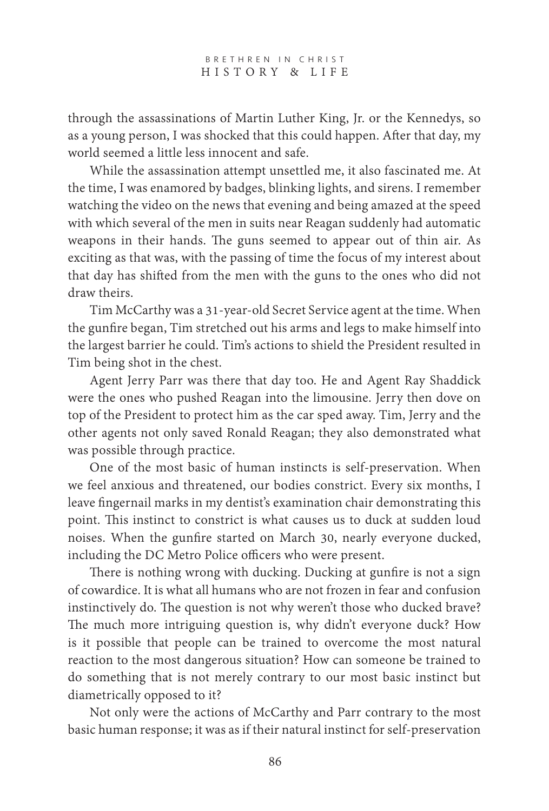through the assassinations of Martin Luther King, Jr. or the Kennedys, so as a young person, I was shocked that this could happen. After that day, my world seemed a little less innocent and safe.

While the assassination attempt unsettled me, it also fascinated me. At the time, I was enamored by badges, blinking lights, and sirens. I remember watching the video on the news that evening and being amazed at the speed with which several of the men in suits near Reagan suddenly had automatic weapons in their hands. The guns seemed to appear out of thin air. As exciting as that was, with the passing of time the focus of my interest about that day has shifted from the men with the guns to the ones who did not draw theirs.

Tim McCarthy was a 31-year-old Secret Service agent at the time. When the gunfire began, Tim stretched out his arms and legs to make himself into the largest barrier he could. Tim's actions to shield the President resulted in Tim being shot in the chest.

Agent Jerry Parr was there that day too. He and Agent Ray Shaddick were the ones who pushed Reagan into the limousine. Jerry then dove on top of the President to protect him as the car sped away. Tim, Jerry and the other agents not only saved Ronald Reagan; they also demonstrated what was possible through practice.

One of the most basic of human instincts is self-preservation. When we feel anxious and threatened, our bodies constrict. Every six months, I leave fingernail marks in my dentist's examination chair demonstrating this point. This instinct to constrict is what causes us to duck at sudden loud noises. When the gunfire started on March 30, nearly everyone ducked, including the DC Metro Police officers who were present.

There is nothing wrong with ducking. Ducking at gunfire is not a sign of cowardice. It is what all humans who are not frozen in fear and confusion instinctively do. The question is not why weren't those who ducked brave? The much more intriguing question is, why didn't everyone duck? How is it possible that people can be trained to overcome the most natural reaction to the most dangerous situation? How can someone be trained to do something that is not merely contrary to our most basic instinct but diametrically opposed to it?

Not only were the actions of McCarthy and Parr contrary to the most basic human response; it was as if their natural instinct for self-preservation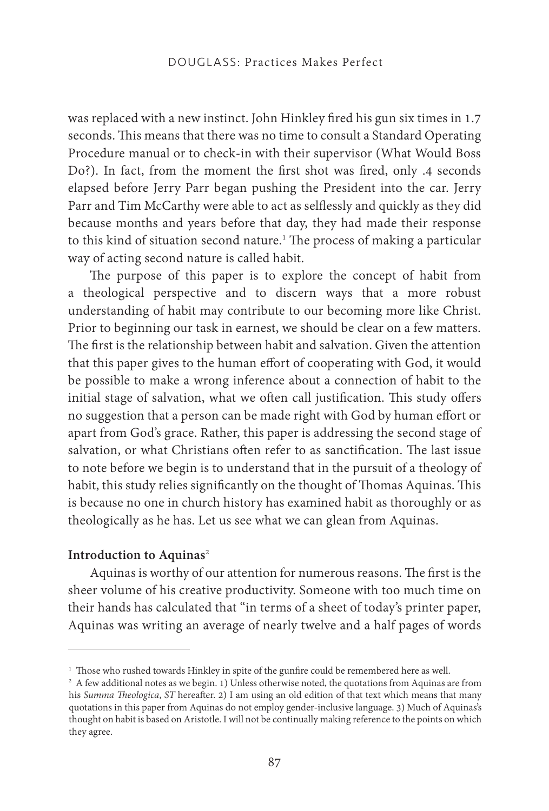was replaced with a new instinct. John Hinkley fired his gun six times in 1.7 seconds. This means that there was no time to consult a Standard Operating Procedure manual or to check-in with their supervisor (What Would Boss Do?). In fact, from the moment the first shot was fired, only .4 seconds elapsed before Jerry Parr began pushing the President into the car. Jerry Parr and Tim McCarthy were able to act as selflessly and quickly as they did because months and years before that day, they had made their response to this kind of situation second nature.<sup>1</sup> The process of making a particular way of acting second nature is called habit.

The purpose of this paper is to explore the concept of habit from a theological perspective and to discern ways that a more robust understanding of habit may contribute to our becoming more like Christ. Prior to beginning our task in earnest, we should be clear on a few matters. The first is the relationship between habit and salvation. Given the attention that this paper gives to the human effort of cooperating with God, it would be possible to make a wrong inference about a connection of habit to the initial stage of salvation, what we often call justification. This study offers no suggestion that a person can be made right with God by human effort or apart from God's grace. Rather, this paper is addressing the second stage of salvation, or what Christians often refer to as sanctification. The last issue to note before we begin is to understand that in the pursuit of a theology of habit, this study relies significantly on the thought of Thomas Aquinas. This is because no one in church history has examined habit as thoroughly or as theologically as he has. Let us see what we can glean from Aquinas.

# **Introduction to Aquinas**<sup>2</sup>

Aquinas is worthy of our attention for numerous reasons. The first is the sheer volume of his creative productivity. Someone with too much time on their hands has calculated that "in terms of a sheet of today's printer paper, Aquinas was writing an average of nearly twelve and a half pages of words

 $^1$  Those who rushed towards Hinkley in spite of the gunfire could be remembered here as well.<br><sup>2</sup> A few additional notes as we begin 1) Unless otherwise noted, the quotations from Aquinas a:

 $^2$  A few additional notes as we begin. 1) Unless otherwise noted, the quotations from Aquinas are from his *Summa Theologica*, *ST* hereafter. 2) I am using an old edition of that text which means that many quotations in this paper from Aquinas do not employ gender-inclusive language. 3) Much of Aquinas's thought on habit is based on Aristotle. I will not be continually making reference to the points on which they agree.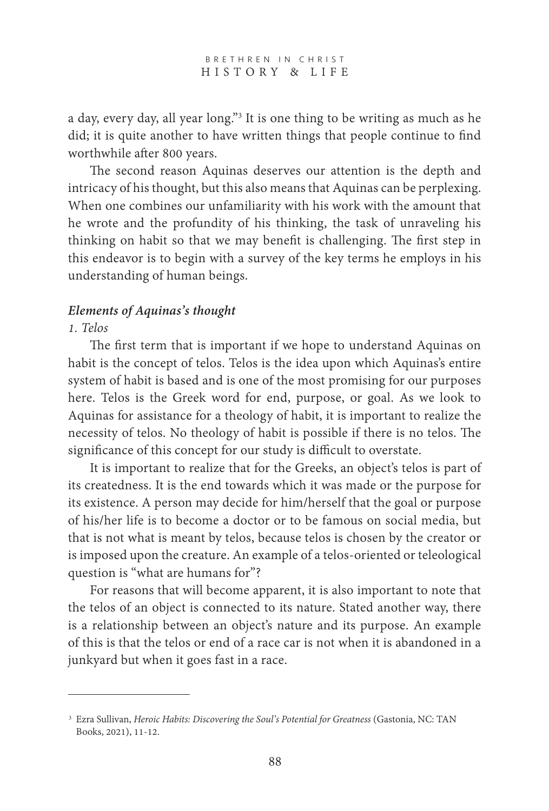a day, every day, all year long."<sup>3</sup> It is one thing to be writing as much as he did; it is quite another to have written things that people continue to find worthwhile after 800 years.

The second reason Aquinas deserves our attention is the depth and intricacy of his thought, but this also means that Aquinas can be perplexing. When one combines our unfamiliarity with his work with the amount that he wrote and the profundity of his thinking, the task of unraveling his thinking on habit so that we may benefit is challenging. The first step in this endeavor is to begin with a survey of the key terms he employs in his understanding of human beings.

## *Elements of Aquinas's thought*

## *1. Telos*

The first term that is important if we hope to understand Aquinas on habit is the concept of telos. Telos is the idea upon which Aquinas's entire system of habit is based and is one of the most promising for our purposes here. Telos is the Greek word for end, purpose, or goal. As we look to Aquinas for assistance for a theology of habit, it is important to realize the necessity of telos. No theology of habit is possible if there is no telos. The significance of this concept for our study is difficult to overstate.

It is important to realize that for the Greeks, an object's telos is part of its createdness. It is the end towards which it was made or the purpose for its existence. A person may decide for him/herself that the goal or purpose of his/her life is to become a doctor or to be famous on social media, but that is not what is meant by telos, because telos is chosen by the creator or is imposed upon the creature. An example of a telos-oriented or teleological question is "what are humans for"?

For reasons that will become apparent, it is also important to note that the telos of an object is connected to its nature. Stated another way, there is a relationship between an object's nature and its purpose. An example of this is that the telos or end of a race car is not when it is abandoned in a junkyard but when it goes fast in a race.

<sup>3</sup> Ezra Sullivan, *Heroic Habits: Discovering the Soul's Potential for Greatness* (Gastonia, NC: TAN Books, 2021), 11-12.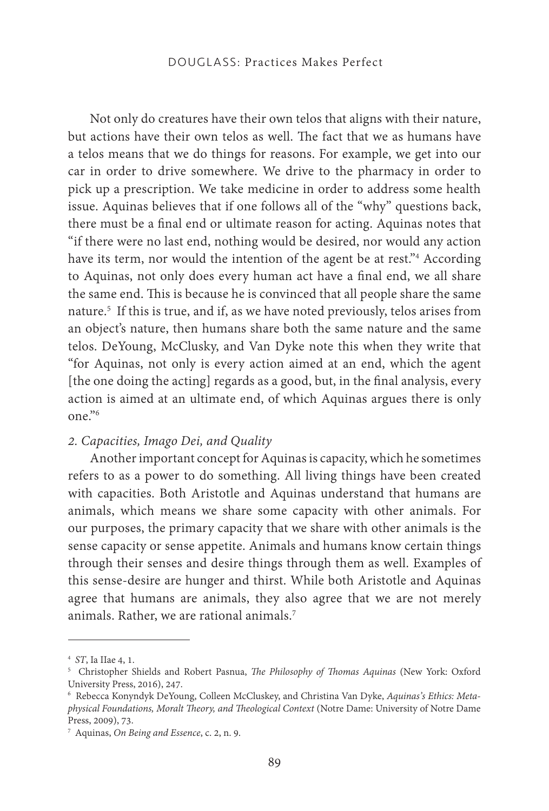Not only do creatures have their own telos that aligns with their nature, but actions have their own telos as well. The fact that we as humans have a telos means that we do things for reasons. For example, we get into our car in order to drive somewhere. We drive to the pharmacy in order to pick up a prescription. We take medicine in order to address some health issue. Aquinas believes that if one follows all of the "why" questions back, there must be a final end or ultimate reason for acting. Aquinas notes that "if there were no last end, nothing would be desired, nor would any action have its term, nor would the intention of the agent be at rest."<sup>4</sup> According to Aquinas, not only does every human act have a final end, we all share the same end. This is because he is convinced that all people share the same nature.5 If this is true, and if, as we have noted previously, telos arises from an object's nature, then humans share both the same nature and the same telos. DeYoung, McClusky, and Van Dyke note this when they write that "for Aquinas, not only is every action aimed at an end, which the agent [the one doing the acting] regards as a good, but, in the final analysis, every action is aimed at an ultimate end, of which Aquinas argues there is only one."<sup>6</sup>

## *2. Capacities, Imago Dei, and Quality*

Another important concept for Aquinas is capacity, which he sometimes refers to as a power to do something. All living things have been created with capacities. Both Aristotle and Aquinas understand that humans are animals, which means we share some capacity with other animals. For our purposes, the primary capacity that we share with other animals is the sense capacity or sense appetite. Animals and humans know certain things through their senses and desire things through them as well. Examples of this sense-desire are hunger and thirst. While both Aristotle and Aquinas agree that humans are animals, they also agree that we are not merely animals. Rather, we are rational animals.7

<sup>4</sup> *ST*, Ia IIae 4, 1.

<sup>5</sup> Christopher Shields and Robert Pasnua, *"e Philosophy of "omas Aquinas* (New York: Oxford University Press, 2016), 247.

<sup>6</sup> Rebecca Konyndyk DeYoung, Colleen McCluskey, and Christina Van Dyke, *Aquinas's Ethics: Metaphysical Foundations, Moralt "eory, and "eological Context* (Notre Dame: University of Notre Dame Press, 2009), 73.

<sup>7</sup> Aquinas, *On Being and Essence*, c. 2, n. 9.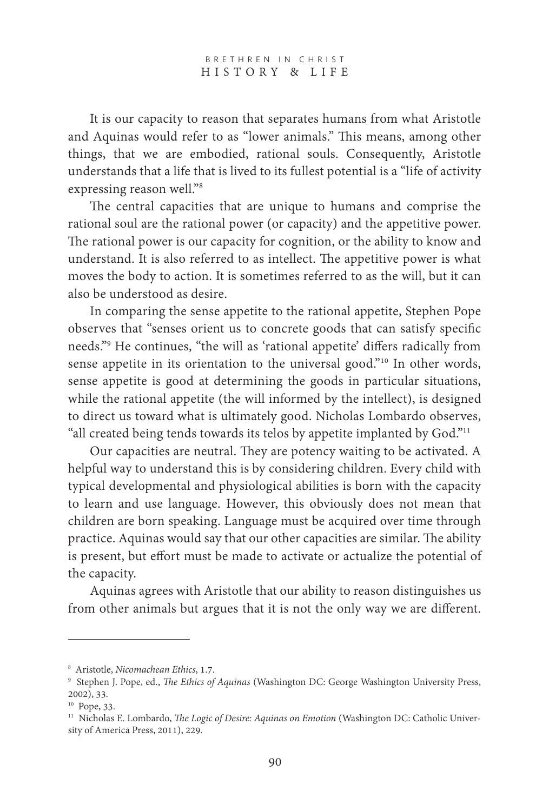It is our capacity to reason that separates humans from what Aristotle and Aquinas would refer to as "lower animals." This means, among other things, that we are embodied, rational souls. Consequently, Aristotle understands that a life that is lived to its fullest potential is a "life of activity expressing reason well."<sup>8</sup>

The central capacities that are unique to humans and comprise the rational soul are the rational power (or capacity) and the appetitive power. The rational power is our capacity for cognition, or the ability to know and understand. It is also referred to as intellect. The appetitive power is what moves the body to action. It is sometimes referred to as the will, but it can also be understood as desire.

In comparing the sense appetite to the rational appetite, Stephen Pope observes that "senses orient us to concrete goods that can satisfy specific needs."<sup>9</sup> He continues, "the will as 'rational appetite' differs radically from sense appetite in its orientation to the universal good."<sup>10</sup> In other words, sense appetite is good at determining the goods in particular situations, while the rational appetite (the will informed by the intellect), is designed to direct us toward what is ultimately good. Nicholas Lombardo observes, "all created being tends towards its telos by appetite implanted by God."<sup>11</sup>

Our capacities are neutral. They are potency waiting to be activated. A helpful way to understand this is by considering children. Every child with typical developmental and physiological abilities is born with the capacity to learn and use language. However, this obviously does not mean that children are born speaking. Language must be acquired over time through practice. Aquinas would say that our other capacities are similar. The ability is present, but effort must be made to activate or actualize the potential of the capacity.

Aquinas agrees with Aristotle that our ability to reason distinguishes us from other animals but argues that it is not the only way we are different.

<sup>8</sup> Aristotle, *Nicomachean Ethics*, 1.7.

<sup>9</sup> Stephen J. Pope, ed., *"e Ethics of Aquinas* (Washington DC: George Washington University Press, 2002), 33.

<sup>&</sup>lt;sup>10</sup> Pope, 33.

<sup>&</sup>lt;sup>11</sup> Nicholas E. Lombardo, *The Logic of Desire: Aquinas on Emotion* (Washington DC: Catholic University of America Press, 2011), 229.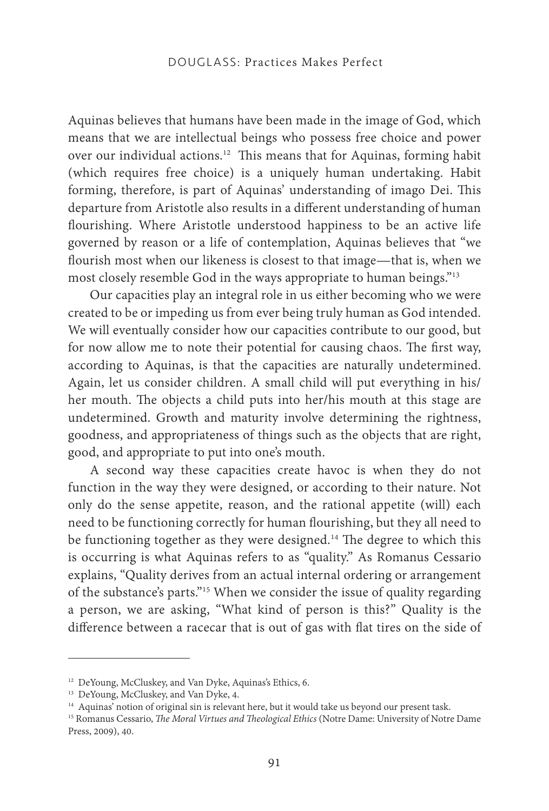Aquinas believes that humans have been made in the image of God, which means that we are intellectual beings who possess free choice and power over our individual actions.<sup>12</sup> This means that for Aquinas, forming habit (which requires free choice) is a uniquely human undertaking. Habit forming, therefore, is part of Aquinas' understanding of imago Dei. This departure from Aristotle also results in a different understanding of human flourishing. Where Aristotle understood happiness to be an active life governed by reason or a life of contemplation, Aquinas believes that "we flourish most when our likeness is closest to that image—that is, when we most closely resemble God in the ways appropriate to human beings."<sup>13</sup>

Our capacities play an integral role in us either becoming who we were created to be or impeding us from ever being truly human as God intended. We will eventually consider how our capacities contribute to our good, but for now allow me to note their potential for causing chaos. The first way, according to Aquinas, is that the capacities are naturally undetermined. Again, let us consider children. A small child will put everything in his/ her mouth. The objects a child puts into her/his mouth at this stage are undetermined. Growth and maturity involve determining the rightness, goodness, and appropriateness of things such as the objects that are right, good, and appropriate to put into one's mouth.

A second way these capacities create havoc is when they do not function in the way they were designed, or according to their nature. Not only do the sense appetite, reason, and the rational appetite (will) each need to be functioning correctly for human flourishing, but they all need to be functioning together as they were designed.<sup>14</sup> The degree to which this is occurring is what Aquinas refers to as "quality." As Romanus Cessario explains, "Quality derives from an actual internal ordering or arrangement of the substance's parts."15 When we consider the issue of quality regarding a person, we are asking, "What kind of person is this?" Quality is the difference between a racecar that is out of gas with flat tires on the side of

<sup>&</sup>lt;sup>12</sup> DeYoung, McCluskey, and Van Dyke, Aquinas's Ethics, 6.

<sup>&</sup>lt;sup>13</sup> DeYoung, McCluskey, and Van Dyke, 4.

<sup>&</sup>lt;sup>14</sup> Aquinas' notion of original sin is relevant here, but it would take us beyond our present task.

<sup>&</sup>lt;sup>15</sup> Romanus Cessario, *The Moral Virtues and Theological Ethics* (Notre Dame: University of Notre Dame Press, 2009), 40.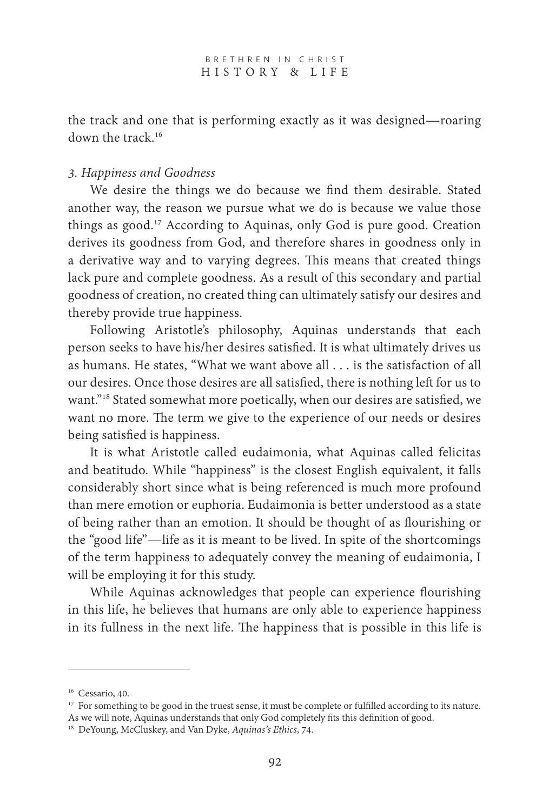the track and one that is performing exactly as it was designed—roaring down the track.16

# *3. Happiness and Goodness*

We desire the things we do because we find them desirable. Stated another way, the reason we pursue what we do is because we value those things as good.<sup>17</sup> According to Aquinas, only God is pure good. Creation derives its goodness from God, and therefore shares in goodness only in a derivative way and to varying degrees. This means that created things lack pure and complete goodness. As a result of this secondary and partial goodness of creation, no created thing can ultimately satisfy our desires and thereby provide true happiness.

Following Aristotle's philosophy, Aquinas understands that each person seeks to have his/her desires satisfied. It is what ultimately drives us as humans. He states, "What we want above all . . . is the satisfaction of all our desires. Once those desires are all satisfied, there is nothing left for us to want."<sup>18</sup> Stated somewhat more poetically, when our desires are satisfied, we want no more. The term we give to the experience of our needs or desires being satisfied is happiness.

It is what Aristotle called eudaimonia, what Aquinas called felicitas and beatitudo. While "happiness" is the closest English equivalent, it falls considerably short since what is being referenced is much more profound than mere emotion or euphoria. Eudaimonia is better understood as a state of being rather than an emotion. It should be thought of as flourishing or the "good life"—life as it is meant to be lived. In spite of the shortcomings of the term happiness to adequately convey the meaning of eudaimonia, I will be employing it for this study.

While Aquinas acknowledges that people can experience flourishing in this life, he believes that humans are only able to experience happiness in its fullness in the next life. The happiness that is possible in this life is

<sup>&</sup>lt;sup>16</sup> Cessario, 40.

<sup>&</sup>lt;sup>17</sup> For something to be good in the truest sense, it must be complete or fulfilled according to its nature. As we will note, Aquinas understands that only God completely fits this definition of good.

<sup>18</sup> DeYoung, McCluskey, and Van Dyke, *Aquinas's Ethics*, 74.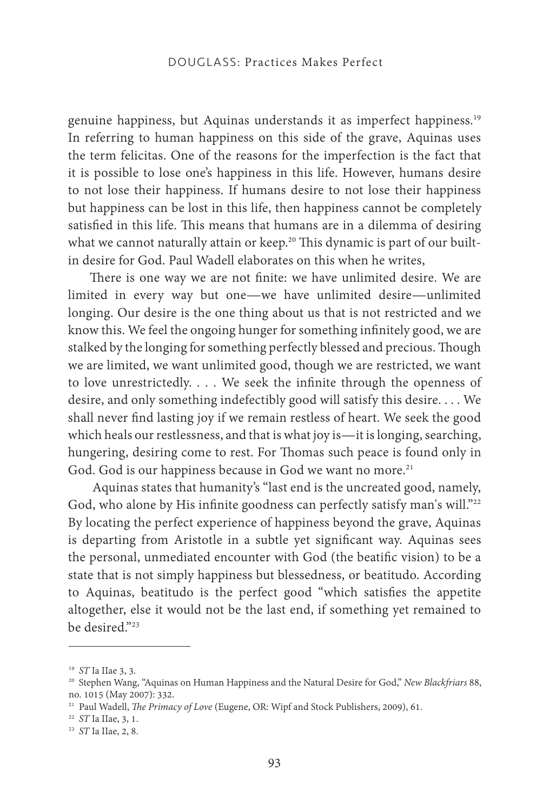genuine happiness, but Aquinas understands it as imperfect happiness.19 In referring to human happiness on this side of the grave, Aquinas uses the term felicitas. One of the reasons for the imperfection is the fact that it is possible to lose one's happiness in this life. However, humans desire to not lose their happiness. If humans desire to not lose their happiness but happiness can be lost in this life, then happiness cannot be completely satisfied in this life. This means that humans are in a dilemma of desiring what we cannot naturally attain or keep.<sup>20</sup> This dynamic is part of our builtin desire for God. Paul Wadell elaborates on this when he writes,

There is one way we are not finite: we have unlimited desire. We are limited in every way but one—we have unlimited desire—unlimited longing. Our desire is the one thing about us that is not restricted and we know this. We feel the ongoing hunger for something infinitely good, we are stalked by the longing for something perfectly blessed and precious. Though we are limited, we want unlimited good, though we are restricted, we want to love unrestrictedly.  $\dots$  We seek the infinite through the openness of desire, and only something indefectibly good will satisfy this desire. . . . We shall never find lasting joy if we remain restless of heart. We seek the good which heals our restlessness, and that is what joy is—it is longing, searching, hungering, desiring come to rest. For Thomas such peace is found only in God. God is our happiness because in God we want no more.<sup>21</sup>

Aquinas states that humanity's "last end is the uncreated good, namely, God, who alone by His infinite goodness can perfectly satisfy man's will."22 By locating the perfect experience of happiness beyond the grave, Aquinas is departing from Aristotle in a subtle yet significant way. Aquinas sees the personal, unmediated encounter with God (the beatific vision) to be a state that is not simply happiness but blessedness, or beatitudo. According to Aquinas, beatitudo is the perfect good "which satisfies the appetite altogether, else it would not be the last end, if something yet remained to be desired."<sup>23</sup>

<sup>19</sup> *ST* Ia IIae 3, 3.

<sup>20</sup> Stephen Wang, "Aquinas on Human Happiness and the Natural Desire for God," *New Blackfriars* 88, no. 1015 (May 2007): 332.

<sup>&</sup>lt;sup>21</sup> Paul Wadell, *The Primacy of Love* (Eugene, OR: Wipf and Stock Publishers, 2009), 61.

<sup>22</sup> *ST* Ia IIae, 3, 1.

<sup>23</sup> *ST* Ia IIae, 2, 8.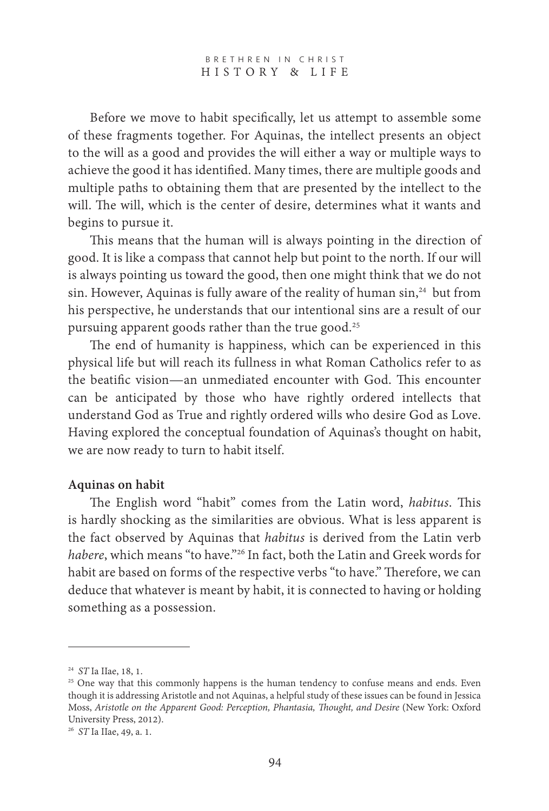Before we move to habit specifically, let us attempt to assemble some of these fragments together. For Aquinas, the intellect presents an object to the will as a good and provides the will either a way or multiple ways to achieve the good it has identified. Many times, there are multiple goods and multiple paths to obtaining them that are presented by the intellect to the will. The will, which is the center of desire, determines what it wants and begins to pursue it.

This means that the human will is always pointing in the direction of good. It is like a compass that cannot help but point to the north. If our will is always pointing us toward the good, then one might think that we do not sin. However, Aquinas is fully aware of the reality of human sin,<sup>24</sup> but from his perspective, he understands that our intentional sins are a result of our pursuing apparent goods rather than the true good.<sup>25</sup>

The end of humanity is happiness, which can be experienced in this physical life but will reach its fullness in what Roman Catholics refer to as the beatific vision—an unmediated encounter with God. This encounter can be anticipated by those who have rightly ordered intellects that understand God as True and rightly ordered wills who desire God as Love. Having explored the conceptual foundation of Aquinas's thought on habit, we are now ready to turn to habit itself.

# **Aquinas on habit**

The English word "habit" comes from the Latin word, *habitus*. This is hardly shocking as the similarities are obvious. What is less apparent is the fact observed by Aquinas that *habitus* is derived from the Latin verb *habere*, which means "to have."26 In fact, both the Latin and Greek words for habit are based on forms of the respective verbs "to have." Therefore, we can deduce that whatever is meant by habit, it is connected to having or holding something as a possession.

<sup>24</sup> *ST* Ia IIae, 18, 1.

<sup>&</sup>lt;sup>25</sup> One way that this commonly happens is the human tendency to confuse means and ends. Even though it is addressing Aristotle and not Aquinas, a helpful study of these issues can be found in Jessica Moss, *Aristotle on the Apparent Good: Perception, Phantasia, "ought, and Desire* (New York: Oxford University Press, 2012).

<sup>26</sup> *ST* Ia IIae, 49, a. 1.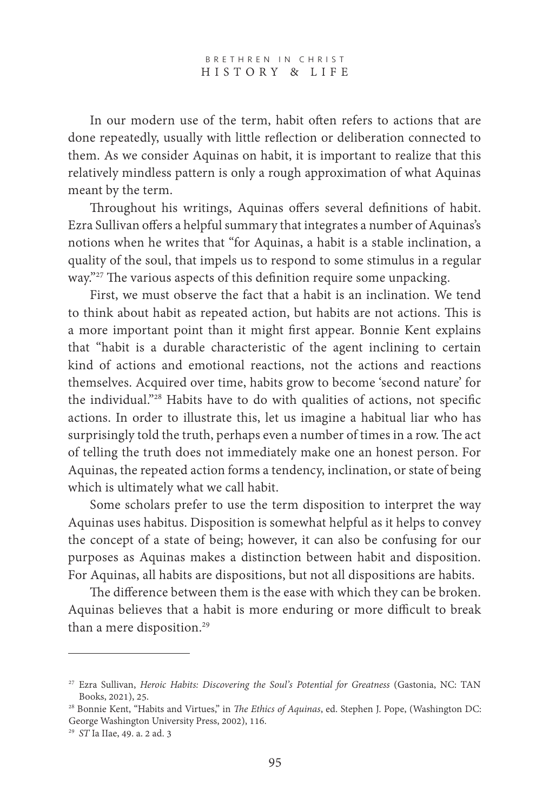In our modern use of the term, habit often refers to actions that are done repeatedly, usually with little reflection or deliberation connected to them. As we consider Aquinas on habit, it is important to realize that this relatively mindless pattern is only a rough approximation of what Aquinas meant by the term.

Throughout his writings, Aquinas offers several definitions of habit. Ezra Sullivan offers a helpful summary that integrates a number of Aquinas's notions when he writes that "for Aquinas, a habit is a stable inclination, a quality of the soul, that impels us to respond to some stimulus in a regular way."<sup>27</sup> The various aspects of this definition require some unpacking.

First, we must observe the fact that a habit is an inclination. We tend to think about habit as repeated action, but habits are not actions. This is a more important point than it might first appear. Bonnie Kent explains that "habit is a durable characteristic of the agent inclining to certain kind of actions and emotional reactions, not the actions and reactions themselves. Acquired over time, habits grow to become 'second nature' for the individual."<sup>28</sup> Habits have to do with qualities of actions, not specific actions. In order to illustrate this, let us imagine a habitual liar who has surprisingly told the truth, perhaps even a number of times in a row. The act of telling the truth does not immediately make one an honest person. For Aquinas, the repeated action forms a tendency, inclination, or state of being which is ultimately what we call habit.

Some scholars prefer to use the term disposition to interpret the way Aquinas uses habitus. Disposition is somewhat helpful as it helps to convey the concept of a state of being; however, it can also be confusing for our purposes as Aquinas makes a distinction between habit and disposition. For Aquinas, all habits are dispositions, but not all dispositions are habits.

The difference between them is the ease with which they can be broken. Aquinas believes that a habit is more enduring or more difficult to break than a mere disposition.<sup>29</sup>

<sup>27</sup> Ezra Sullivan, *Heroic Habits: Discovering the Soul's Potential for Greatness* (Gastonia, NC: TAN Books, 2021), 25. 28 Bonnie Kent, "Habits and Virtues," in *"e Ethics of Aquinas*, ed. Stephen J. Pope, (Washington DC:

George Washington University Press, 2002), 116.

<sup>29</sup> *ST* Ia IIae, 49. a. 2 ad. 3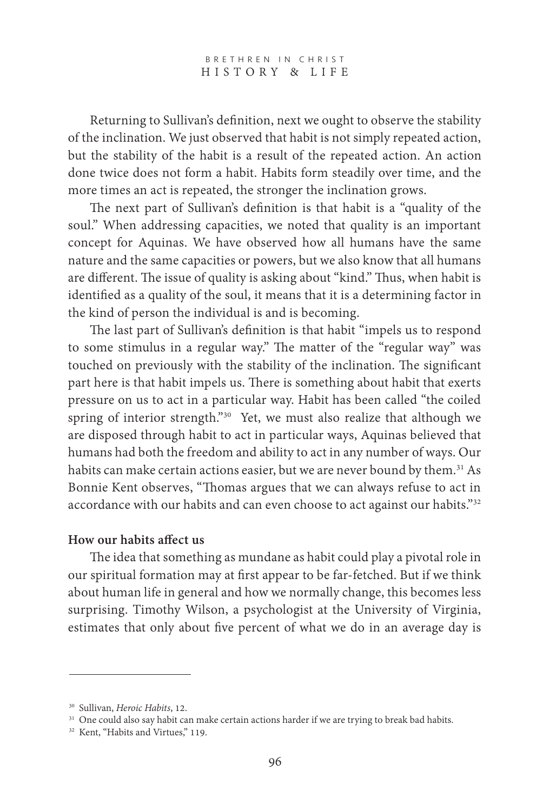#### BRETHREN IN CHRIST HISTORY & L I F E

Returning to Sullivan's definition, next we ought to observe the stability of the inclination. We just observed that habit is not simply repeated action, but the stability of the habit is a result of the repeated action. An action done twice does not form a habit. Habits form steadily over time, and the more times an act is repeated, the stronger the inclination grows.

The next part of Sullivan's definition is that habit is a "quality of the soul." When addressing capacities, we noted that quality is an important concept for Aquinas. We have observed how all humans have the same nature and the same capacities or powers, but we also know that all humans are different. The issue of quality is asking about "kind." Thus, when habit is identified as a quality of the soul, it means that it is a determining factor in the kind of person the individual is and is becoming.

The last part of Sullivan's definition is that habit "impels us to respond to some stimulus in a regular way." The matter of the "regular way" was touched on previously with the stability of the inclination. The significant part here is that habit impels us. There is something about habit that exerts pressure on us to act in a particular way. Habit has been called "the coiled spring of interior strength."<sup>30</sup> Yet, we must also realize that although we are disposed through habit to act in particular ways, Aquinas believed that humans had both the freedom and ability to act in any number of ways. Our habits can make certain actions easier, but we are never bound by them.<sup>31</sup> As Bonnie Kent observes, "Thomas argues that we can always refuse to act in accordance with our habits and can even choose to act against our habits."<sup>32</sup>

#### **How our habits a"ect us**

The idea that something as mundane as habit could play a pivotal role in our spiritual formation may at first appear to be far-fetched. But if we think about human life in general and how we normally change, this becomes less surprising. Timothy Wilson, a psychologist at the University of Virginia, estimates that only about five percent of what we do in an average day is

<sup>&</sup>lt;sup>30</sup> Sullivan, *Heroic Habits*, 12.<br><sup>31</sup> One could also say habit can make certain actions harder if we are trying to break bad habits.

<sup>&</sup>lt;sup>32</sup> Kent, "Habits and Virtues," 119.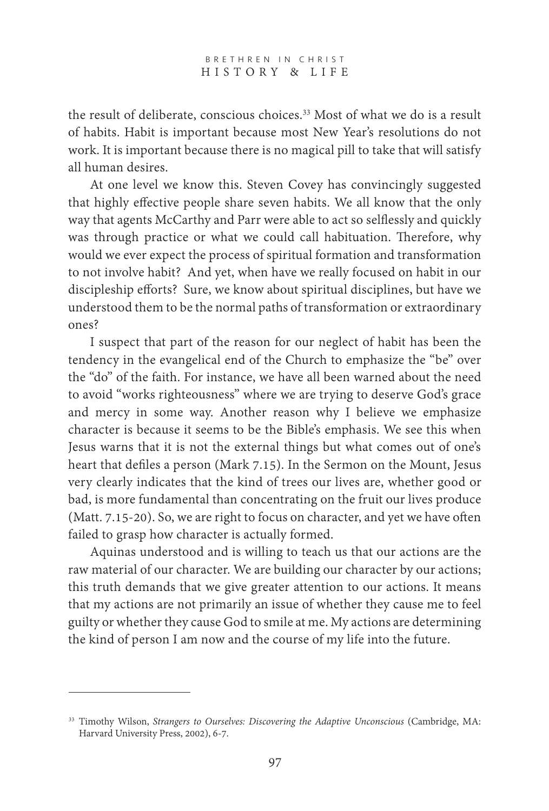the result of deliberate, conscious choices.33 Most of what we do is a result of habits. Habit is important because most New Year's resolutions do not work. It is important because there is no magical pill to take that will satisfy all human desires.

At one level we know this. Steven Covey has convincingly suggested that highly effective people share seven habits. We all know that the only way that agents McCarthy and Parr were able to act so selflessly and quickly was through practice or what we could call habituation. Therefore, why would we ever expect the process of spiritual formation and transformation to not involve habit? And yet, when have we really focused on habit in our discipleship efforts? Sure, we know about spiritual disciplines, but have we understood them to be the normal paths of transformation or extraordinary ones?

I suspect that part of the reason for our neglect of habit has been the tendency in the evangelical end of the Church to emphasize the "be" over the "do" of the faith. For instance, we have all been warned about the need to avoid "works righteousness" where we are trying to deserve God's grace and mercy in some way. Another reason why I believe we emphasize character is because it seems to be the Bible's emphasis. We see this when Jesus warns that it is not the external things but what comes out of one's heart that defiles a person (Mark 7.15). In the Sermon on the Mount, Jesus very clearly indicates that the kind of trees our lives are, whether good or bad, is more fundamental than concentrating on the fruit our lives produce (Matt.  $7.15$ -20). So, we are right to focus on character, and yet we have often failed to grasp how character is actually formed.

Aquinas understood and is willing to teach us that our actions are the raw material of our character. We are building our character by our actions; this truth demands that we give greater attention to our actions. It means that my actions are not primarily an issue of whether they cause me to feel guilty or whether they cause God to smile at me. My actions are determining the kind of person I am now and the course of my life into the future.

<sup>33</sup> Timothy Wilson, *Strangers to Ourselves: Discovering the Adaptive Unconscious* (Cambridge, MA: Harvard University Press, 2002), 6-7.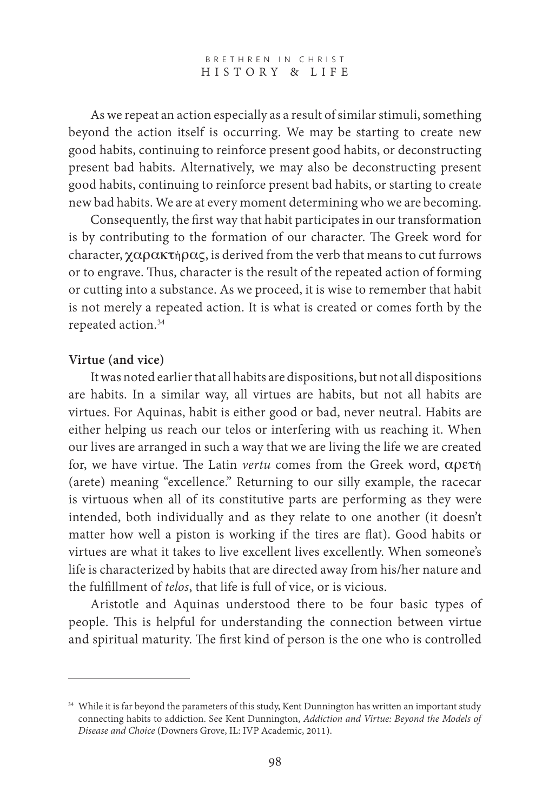As we repeat an action especially as a result of similar stimuli, something beyond the action itself is occurring. We may be starting to create new good habits, continuing to reinforce present good habits, or deconstructing present bad habits. Alternatively, we may also be deconstructing present good habits, continuing to reinforce present bad habits, or starting to create new bad habits. We are at every moment determining who we are becoming.

Consequently, the first way that habit participates in our transformation is by contributing to the formation of our character. The Greek word for character,  $\chi\alpha\rho\alpha\kappa\tau\eta\rho\alpha\zeta$ , is derived from the verb that means to cut furrows or to engrave. Thus, character is the result of the repeated action of forming or cutting into a substance. As we proceed, it is wise to remember that habit is not merely a repeated action. It is what is created or comes forth by the repeated action.34

# **Virtue (and vice)**

It was noted earlier that all habits are dispositions, but not all dispositions are habits. In a similar way, all virtues are habits, but not all habits are virtues. For Aquinas, habit is either good or bad, never neutral. Habits are either helping us reach our telos or interfering with us reaching it. When our lives are arranged in such a way that we are living the life we are created for, we have virtue. The Latin *vertu* comes from the Greek word,  $\alpha \rho \epsilon \tau_0$ (arete) meaning "excellence." Returning to our silly example, the racecar is virtuous when all of its constitutive parts are performing as they were intended, both individually and as they relate to one another (it doesn't matter how well a piston is working if the tires are flat). Good habits or virtues are what it takes to live excellent lives excellently. When someone's life is characterized by habits that are directed away from his/her nature and the fulfillment of *telos*, that life is full of vice, or is vicious.

Aristotle and Aquinas understood there to be four basic types of people. This is helpful for understanding the connection between virtue and spiritual maturity. The first kind of person is the one who is controlled

<sup>&</sup>lt;sup>34</sup> While it is far beyond the parameters of this study, Kent Dunnington has written an important study connecting habits to addiction. See Kent Dunnington, *Addiction and Virtue: Beyond the Models of Disease and Choice* (Downers Grove, IL: IVP Academic, 2011).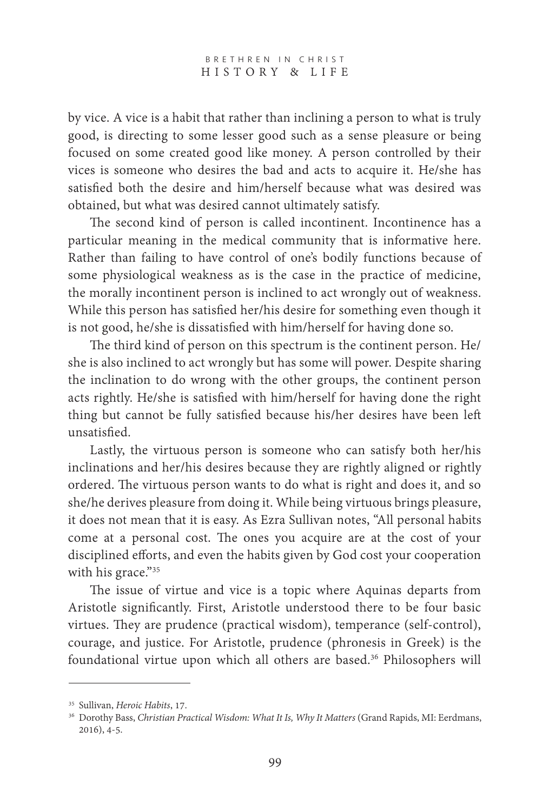by vice. A vice is a habit that rather than inclining a person to what is truly good, is directing to some lesser good such as a sense pleasure or being focused on some created good like money. A person controlled by their vices is someone who desires the bad and acts to acquire it. He/she has satisfied both the desire and him/herself because what was desired was obtained, but what was desired cannot ultimately satisfy.

The second kind of person is called incontinent. Incontinence has a particular meaning in the medical community that is informative here. Rather than failing to have control of one's bodily functions because of some physiological weakness as is the case in the practice of medicine, the morally incontinent person is inclined to act wrongly out of weakness. While this person has satisfied her/his desire for something even though it is not good, he/she is dissatisfied with him/herself for having done so.

The third kind of person on this spectrum is the continent person. He/ she is also inclined to act wrongly but has some will power. Despite sharing the inclination to do wrong with the other groups, the continent person acts rightly. He/she is satisfied with him/herself for having done the right thing but cannot be fully satisfied because his/her desires have been left unsatisfied.

Lastly, the virtuous person is someone who can satisfy both her/his inclinations and her/his desires because they are rightly aligned or rightly ordered. The virtuous person wants to do what is right and does it, and so she/he derives pleasure from doing it. While being virtuous brings pleasure, it does not mean that it is easy. As Ezra Sullivan notes, "All personal habits come at a personal cost. The ones you acquire are at the cost of your disciplined efforts, and even the habits given by God cost your cooperation with his grace."<sup>35</sup>

The issue of virtue and vice is a topic where Aquinas departs from Aristotle significantly. First, Aristotle understood there to be four basic virtues. They are prudence (practical wisdom), temperance (self-control), courage, and justice. For Aristotle, prudence (phronesis in Greek) is the foundational virtue upon which all others are based.36 Philosophers will

<sup>35</sup> Sullivan, *Heroic Habits*, 17.

<sup>&</sup>lt;sup>36</sup> Dorothy Bass, *Christian Practical Wisdom: What It Is, Why It Matters* (Grand Rapids, MI: Eerdmans, 2016), 4-5.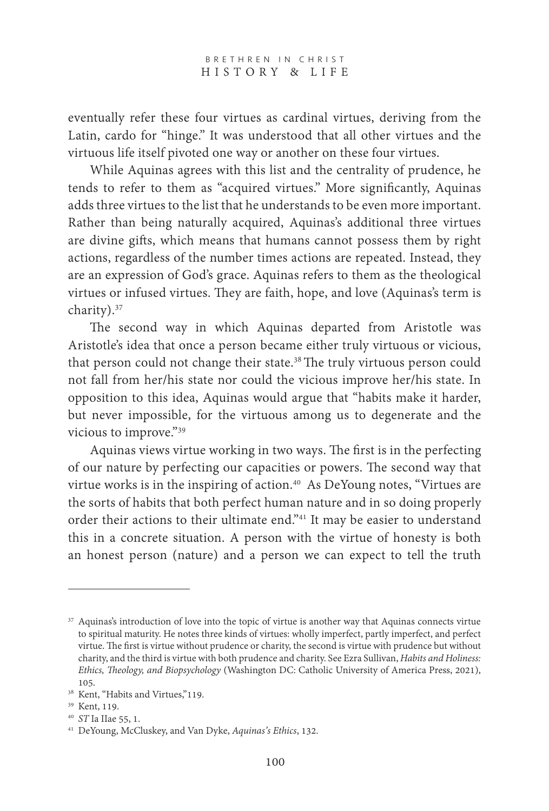eventually refer these four virtues as cardinal virtues, deriving from the Latin, cardo for "hinge." It was understood that all other virtues and the virtuous life itself pivoted one way or another on these four virtues.

While Aquinas agrees with this list and the centrality of prudence, he tends to refer to them as "acquired virtues." More significantly, Aquinas adds three virtues to the list that he understands to be even more important. Rather than being naturally acquired, Aquinas's additional three virtues are divine gifts, which means that humans cannot possess them by right actions, regardless of the number times actions are repeated. Instead, they are an expression of God's grace. Aquinas refers to them as the theological virtues or infused virtues. They are faith, hope, and love (Aquinas's term is charity).37

The second way in which Aquinas departed from Aristotle was Aristotle's idea that once a person became either truly virtuous or vicious, that person could not change their state.<sup>38</sup> The truly virtuous person could not fall from her/his state nor could the vicious improve her/his state. In opposition to this idea, Aquinas would argue that "habits make it harder, but never impossible, for the virtuous among us to degenerate and the vicious to improve."<sup>39</sup>

Aquinas views virtue working in two ways. The first is in the perfecting of our nature by perfecting our capacities or powers. The second way that virtue works is in the inspiring of action.<sup>40</sup> As DeYoung notes, "Virtues are the sorts of habits that both perfect human nature and in so doing properly order their actions to their ultimate end."41 It may be easier to understand this in a concrete situation. A person with the virtue of honesty is both an honest person (nature) and a person we can expect to tell the truth

<sup>&</sup>lt;sup>37</sup> Aquinas's introduction of love into the topic of virtue is another way that Aquinas connects virtue to spiritual maturity. He notes three kinds of virtues: wholly imperfect, partly imperfect, and perfect virtue. The first is virtue without prudence or charity, the second is virtue with prudence but without charity, and the third is virtue with both prudence and charity. See Ezra Sullivan, *Habits and Holiness: Ethics, "eology, and Biopsychology* (Washington DC: Catholic University of America Press, 2021), 105.

<sup>&</sup>lt;sup>38</sup> Kent, "Habits and Virtues,"<br><sup>39</sup> Kent, 119.<br><sup>40</sup> *ST* Ia IIae 55, 1.

<sup>&</sup>lt;sup>41</sup> DeYoung, McCluskey, and Van Dyke, *Aquinas*'s Ethics, 132.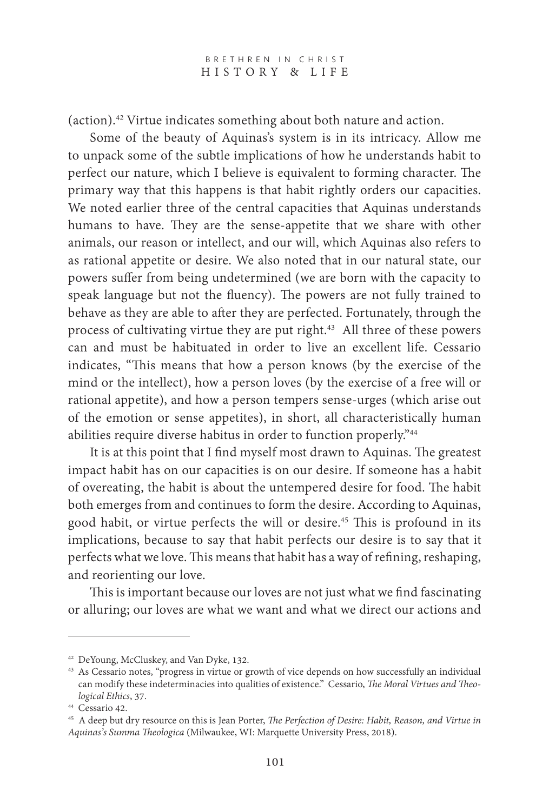(action).42 Virtue indicates something about both nature and action.

Some of the beauty of Aquinas's system is in its intricacy. Allow me to unpack some of the subtle implications of how he understands habit to perfect our nature, which I believe is equivalent to forming character. The primary way that this happens is that habit rightly orders our capacities. We noted earlier three of the central capacities that Aquinas understands humans to have. They are the sense-appetite that we share with other animals, our reason or intellect, and our will, which Aquinas also refers to as rational appetite or desire. We also noted that in our natural state, our powers suffer from being undetermined (we are born with the capacity to speak language but not the fluency). The powers are not fully trained to behave as they are able to after they are perfected. Fortunately, through the process of cultivating virtue they are put right.<sup>43</sup> All three of these powers can and must be habituated in order to live an excellent life. Cessario indicates, "This means that how a person knows (by the exercise of the mind or the intellect), how a person loves (by the exercise of a free will or rational appetite), and how a person tempers sense-urges (which arise out of the emotion or sense appetites), in short, all characteristically human abilities require diverse habitus in order to function properly."44

It is at this point that I find myself most drawn to Aquinas. The greatest impact habit has on our capacities is on our desire. If someone has a habit of overeating, the habit is about the untempered desire for food. The habit both emerges from and continues to form the desire. According to Aquinas, good habit, or virtue perfects the will or desire.<sup>45</sup> This is profound in its implications, because to say that habit perfects our desire is to say that it perfects what we love. This means that habit has a way of refining, reshaping, and reorienting our love.

This is important because our loves are not just what we find fascinating or alluring; our loves are what we want and what we direct our actions and

<sup>42</sup> DeYoung, McCluskey, and Van Dyke, 132.

<sup>43</sup> As Cessario notes, "progress in virtue or growth of vice depends on how successfully an individual can modify these indeterminacies into qualities of existence." Cessario, *"e Moral Virtues and "eological Ethics*, 37. 44 Cessario 42.

<sup>&</sup>lt;sup>45</sup> A deep but dry resource on this is Jean Porter, *The Perfection of Desire: Habit, Reason, and Virtue in Aquinas's Summa "eologica* (Milwaukee, WI: Marquette University Press, 2018).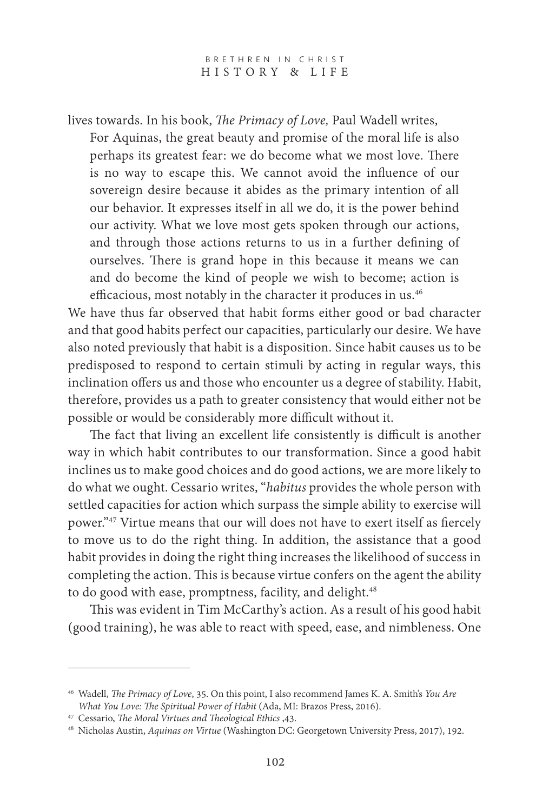lives towards. In his book, *The Primacy of Love*, Paul Wadell writes, For Aquinas, the great beauty and promise of the moral life is also perhaps its greatest fear: we do become what we most love. There is no way to escape this. We cannot avoid the influence of our sovereign desire because it abides as the primary intention of all our behavior. It expresses itself in all we do, it is the power behind our activity. What we love most gets spoken through our actions, and through those actions returns to us in a further defining of ourselves. There is grand hope in this because it means we can and do become the kind of people we wish to become; action is efficacious, most notably in the character it produces in us.<sup>46</sup>

We have thus far observed that habit forms either good or bad character and that good habits perfect our capacities, particularly our desire. We have also noted previously that habit is a disposition. Since habit causes us to be predisposed to respond to certain stimuli by acting in regular ways, this inclination offers us and those who encounter us a degree of stability. Habit, therefore, provides us a path to greater consistency that would either not be possible or would be considerably more difficult without it.

The fact that living an excellent life consistently is difficult is another way in which habit contributes to our transformation. Since a good habit inclines us to make good choices and do good actions, we are more likely to do what we ought. Cessario writes, "*habitus* provides the whole person with settled capacities for action which surpass the simple ability to exercise will power."47 Virtue means that our will does not have to exert itself as fiercely to move us to do the right thing. In addition, the assistance that a good habit provides in doing the right thing increases the likelihood of success in completing the action. This is because virtue confers on the agent the ability to do good with ease, promptness, facility, and delight.<sup>48</sup>

This was evident in Tim McCarthy's action. As a result of his good habit (good training), he was able to react with speed, ease, and nimbleness. One

<sup>46</sup> Wadell, *"e Primacy of Love*, 35. On this point, I also recommend James K. A. Smith's *You Are What You Love: The Spiritual Power of Habit* (Ada, MI: Brazos Press, 2016).<br><sup>47</sup> Cessario, *The Moral Virtues and Theological Ethics* ,43.

<sup>&</sup>lt;sup>48</sup> Nicholas Austin, *Aquinas on Virtue* (Washington DC: Georgetown University Press, 2017), 192.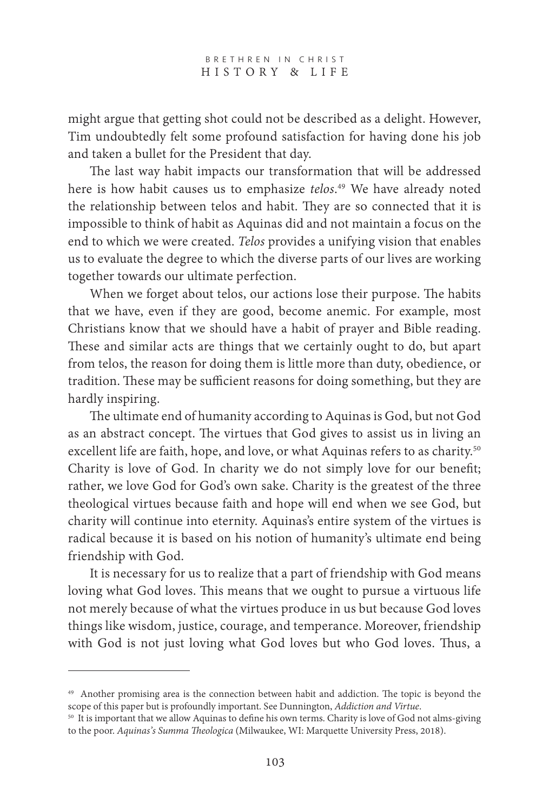might argue that getting shot could not be described as a delight. However, Tim undoubtedly felt some profound satisfaction for having done his job and taken a bullet for the President that day.

The last way habit impacts our transformation that will be addressed here is how habit causes us to emphasize *telos*. 49 We have already noted the relationship between telos and habit. They are so connected that it is impossible to think of habit as Aquinas did and not maintain a focus on the end to which we were created. *Telos* provides a unifying vision that enables us to evaluate the degree to which the diverse parts of our lives are working together towards our ultimate perfection.

When we forget about telos, our actions lose their purpose. The habits that we have, even if they are good, become anemic. For example, most Christians know that we should have a habit of prayer and Bible reading. These and similar acts are things that we certainly ought to do, but apart from telos, the reason for doing them is little more than duty, obedience, or tradition. These may be sufficient reasons for doing something, but they are hardly inspiring.

The ultimate end of humanity according to Aquinas is God, but not God as an abstract concept. The virtues that God gives to assist us in living an excellent life are faith, hope, and love, or what Aquinas refers to as charity.<sup>50</sup> Charity is love of God. In charity we do not simply love for our benefit; rather, we love God for God's own sake. Charity is the greatest of the three theological virtues because faith and hope will end when we see God, but charity will continue into eternity. Aquinas's entire system of the virtues is radical because it is based on his notion of humanity's ultimate end being friendship with God.

It is necessary for us to realize that a part of friendship with God means loving what God loves. This means that we ought to pursue a virtuous life not merely because of what the virtues produce in us but because God loves things like wisdom, justice, courage, and temperance. Moreover, friendship with God is not just loving what God loves but who God loves. Thus, a

<sup>&</sup>lt;sup>49</sup> Another promising area is the connection between habit and addiction. The topic is beyond the scope of this paper but is profoundly important. See Dunnington, *Addiction and Virtue*.

<sup>&</sup>lt;sup>50</sup> It is important that we allow Aquinas to define his own terms. Charity is love of God not alms-giving to the poor. *Aquinas's Summa "eologica* (Milwaukee, WI: Marquette University Press, 2018).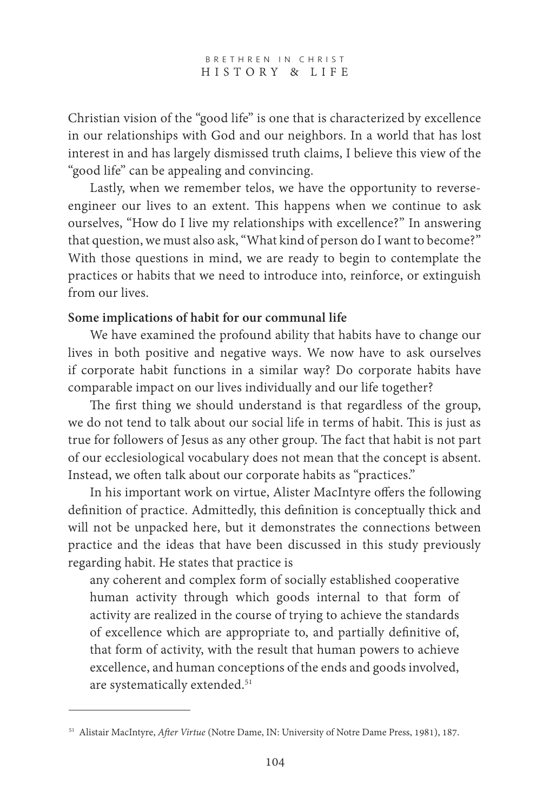Christian vision of the "good life" is one that is characterized by excellence in our relationships with God and our neighbors. In a world that has lost interest in and has largely dismissed truth claims, I believe this view of the "good life" can be appealing and convincing.

Lastly, when we remember telos, we have the opportunity to reverseengineer our lives to an extent. This happens when we continue to ask ourselves, "How do I live my relationships with excellence?" In answering that question, we must also ask, "What kind of person do I want to become?" With those questions in mind, we are ready to begin to contemplate the practices or habits that we need to introduce into, reinforce, or extinguish from our lives.

# **Some implications of habit for our communal life**

We have examined the profound ability that habits have to change our lives in both positive and negative ways. We now have to ask ourselves if corporate habit functions in a similar way? Do corporate habits have comparable impact on our lives individually and our life together?

The first thing we should understand is that regardless of the group, we do not tend to talk about our social life in terms of habit. This is just as true for followers of Jesus as any other group. The fact that habit is not part of our ecclesiological vocabulary does not mean that the concept is absent. Instead, we often talk about our corporate habits as "practices."

In his important work on virtue, Alister MacIntyre offers the following definition of practice. Admittedly, this definition is conceptually thick and will not be unpacked here, but it demonstrates the connections between practice and the ideas that have been discussed in this study previously regarding habit. He states that practice is

any coherent and complex form of socially established cooperative human activity through which goods internal to that form of activity are realized in the course of trying to achieve the standards of excellence which are appropriate to, and partially definitive of, that form of activity, with the result that human powers to achieve excellence, and human conceptions of the ends and goods involved, are systematically extended.<sup>51</sup>

<sup>&</sup>lt;sup>51</sup> Alistair MacIntyre, *After Virtue* (Notre Dame, IN: University of Notre Dame Press, 1981), 187.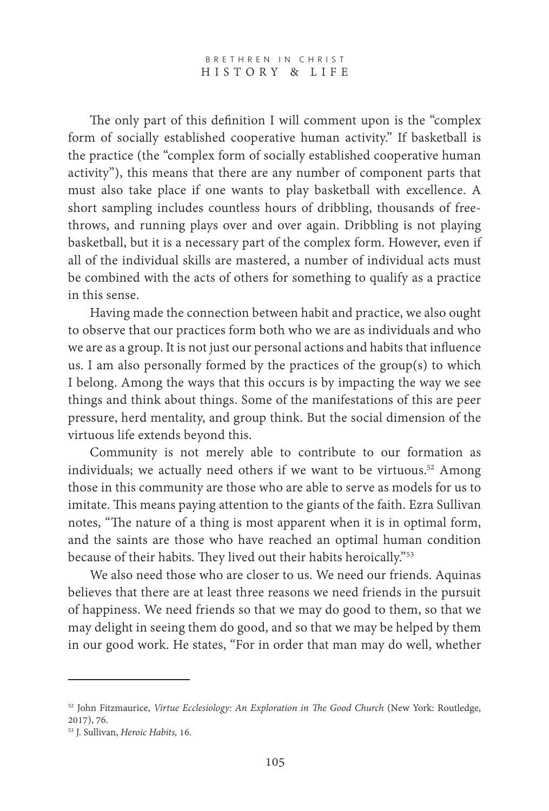The only part of this definition I will comment upon is the "complex form of socially established cooperative human activity." If basketball is the practice (the "complex form of socially established cooperative human activity"), this means that there are any number of component parts that must also take place if one wants to play basketball with excellence. A short sampling includes countless hours of dribbling, thousands of freethrows, and running plays over and over again. Dribbling is not playing basketball, but it is a necessary part of the complex form. However, even if all of the individual skills are mastered, a number of individual acts must be combined with the acts of others for something to qualify as a practice in this sense.

Having made the connection between habit and practice, we also ought to observe that our practices form both who we are as individuals and who we are as a group. It is not just our personal actions and habits that influence us. I am also personally formed by the practices of the group(s) to which I belong. Among the ways that this occurs is by impacting the way we see things and think about things. Some of the manifestations of this are peer pressure, herd mentality, and group think. But the social dimension of the virtuous life extends beyond this.

Community is not merely able to contribute to our formation as individuals; we actually need others if we want to be virtuous.<sup>52</sup> Among those in this community are those who are able to serve as models for us to imitate. This means paying attention to the giants of the faith. Ezra Sullivan notes, "The nature of a thing is most apparent when it is in optimal form, and the saints are those who have reached an optimal human condition because of their habits. They lived out their habits heroically."<sup>53</sup>

We also need those who are closer to us. We need our friends. Aquinas believes that there are at least three reasons we need friends in the pursuit of happiness. We need friends so that we may do good to them, so that we may delight in seeing them do good, and so that we may be helped by them in our good work. He states, "For in order that man may do well, whether

<sup>52</sup> John Fitzmaurice, *Virtue Ecclesiology: An Exploration in "e Good Church* (New York: Routledge, 2017), 76.

<sup>53</sup> J. Sullivan, *Heroic Habits,* 16.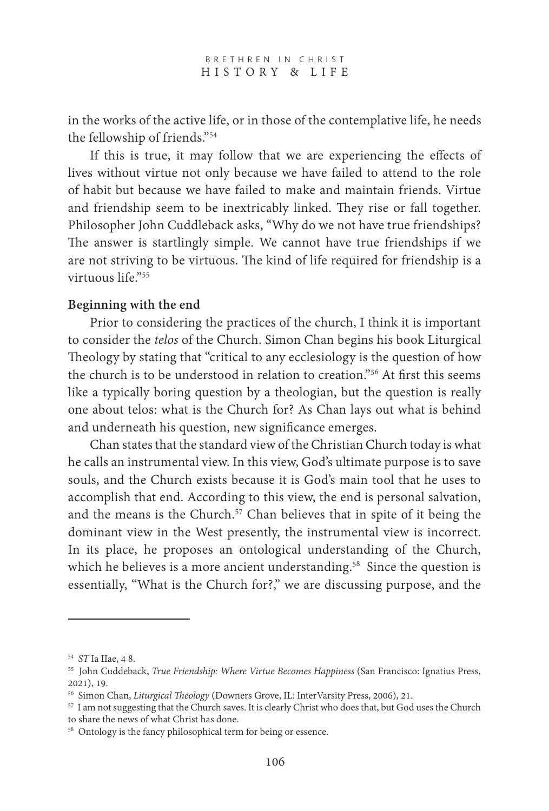in the works of the active life, or in those of the contemplative life, he needs the fellowship of friends."54

If this is true, it may follow that we are experiencing the effects of lives without virtue not only because we have failed to attend to the role of habit but because we have failed to make and maintain friends. Virtue and friendship seem to be inextricably linked. They rise or fall together. Philosopher John Cuddleback asks, "Why do we not have true friendships? The answer is startlingly simple. We cannot have true friendships if we are not striving to be virtuous. The kind of life required for friendship is a virtuous life."<sup>55</sup>

## **Beginning with the end**

Prior to considering the practices of the church, I think it is important to consider the *telos* of the Church. Simon Chan begins his book Liturgical Theology by stating that "critical to any ecclesiology is the question of how the church is to be understood in relation to creation."<sup>56</sup> At first this seems like a typically boring question by a theologian, but the question is really one about telos: what is the Church for? As Chan lays out what is behind and underneath his question, new significance emerges.

Chan states that the standard view of the Christian Church today is what he calls an instrumental view. In this view, God's ultimate purpose is to save souls, and the Church exists because it is God's main tool that he uses to accomplish that end. According to this view, the end is personal salvation, and the means is the Church.<sup>57</sup> Chan believes that in spite of it being the dominant view in the West presently, the instrumental view is incorrect. In its place, he proposes an ontological understanding of the Church, which he believes is a more ancient understanding.<sup>58</sup> Since the question is essentially, "What is the Church for?," we are discussing purpose, and the

<sup>54</sup> *ST* Ia IIae, 4 8.

<sup>55</sup> John Cuddeback, *True Friendship: Where Virtue Becomes Happiness* (San Francisco: Ignatius Press, 2021), 19.

<sup>&</sup>lt;sup>56</sup> Simon Chan, *Liturgical Theology* (Downers Grove, IL: InterVarsity Press, 2006), 21.

<sup>&</sup>lt;sup>57</sup> I am not suggesting that the Church saves. It is clearly Christ who does that, but God uses the Church to share the news of what Christ has done.

<sup>58</sup> Ontology is the fancy philosophical term for being or essence.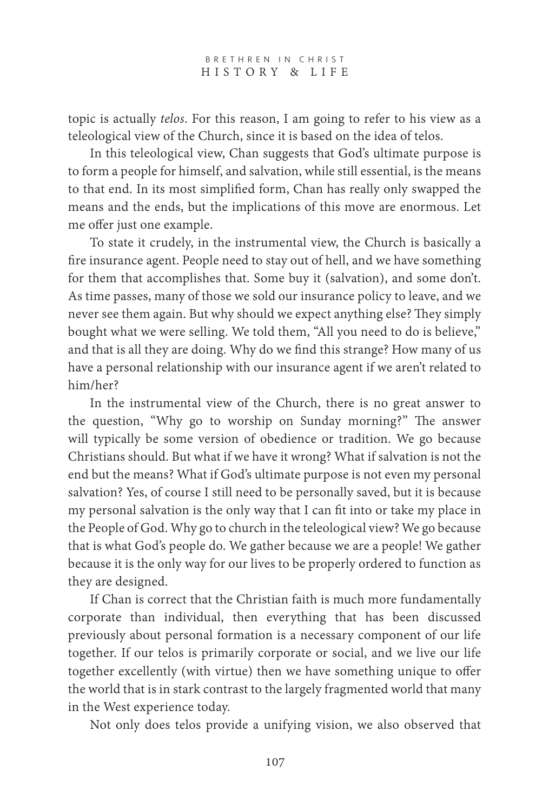topic is actually *telos*. For this reason, I am going to refer to his view as a teleological view of the Church, since it is based on the idea of telos.

In this teleological view, Chan suggests that God's ultimate purpose is to form a people for himself, and salvation, while still essential, is the means to that end. In its most simplified form, Chan has really only swapped the means and the ends, but the implications of this move are enormous. Let me offer just one example.

To state it crudely, in the instrumental view, the Church is basically a fire insurance agent. People need to stay out of hell, and we have something for them that accomplishes that. Some buy it (salvation), and some don't. As time passes, many of those we sold our insurance policy to leave, and we never see them again. But why should we expect anything else? They simply bought what we were selling. We told them, "All you need to do is believe," and that is all they are doing. Why do we find this strange? How many of us have a personal relationship with our insurance agent if we aren't related to him/her?

In the instrumental view of the Church, there is no great answer to the question, "Why go to worship on Sunday morning?" The answer will typically be some version of obedience or tradition. We go because Christians should. But what if we have it wrong? What if salvation is not the end but the means? What if God's ultimate purpose is not even my personal salvation? Yes, of course I still need to be personally saved, but it is because my personal salvation is the only way that I can fit into or take my place in the People of God. Why go to church in the teleological view? We go because that is what God's people do. We gather because we are a people! We gather because it is the only way for our lives to be properly ordered to function as they are designed.

If Chan is correct that the Christian faith is much more fundamentally corporate than individual, then everything that has been discussed previously about personal formation is a necessary component of our life together. If our telos is primarily corporate or social, and we live our life together excellently (with virtue) then we have something unique to offer the world that is in stark contrast to the largely fragmented world that many in the West experience today.

Not only does telos provide a unifying vision, we also observed that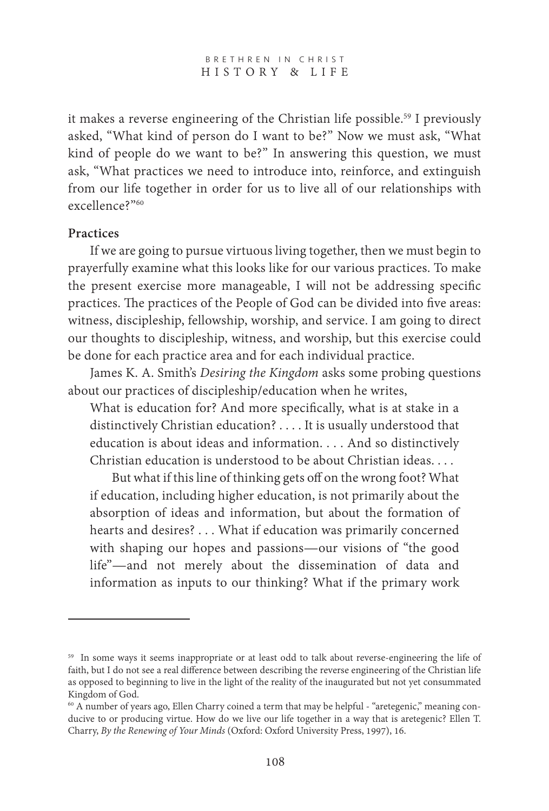it makes a reverse engineering of the Christian life possible.<sup>59</sup> I previously asked, "What kind of person do I want to be?" Now we must ask, "What kind of people do we want to be?" In answering this question, we must ask, "What practices we need to introduce into, reinforce, and extinguish from our life together in order for us to live all of our relationships with excellence?"60

## **Practices**

If we are going to pursue virtuous living together, then we must begin to prayerfully examine what this looks like for our various practices. To make the present exercise more manageable, I will not be addressing specific practices. The practices of the People of God can be divided into five areas: witness, discipleship, fellowship, worship, and service. I am going to direct our thoughts to discipleship, witness, and worship, but this exercise could be done for each practice area and for each individual practice.

James K. A. Smith's *Desiring the Kingdom* asks some probing questions about our practices of discipleship/education when he writes,

What is education for? And more specifically, what is at stake in a distinctively Christian education? . . . . It is usually understood that education is about ideas and information. . . . And so distinctively Christian education is understood to be about Christian ideas. . . .

But what if this line of thinking gets off on the wrong foot? What if education, including higher education, is not primarily about the absorption of ideas and information, but about the formation of hearts and desires? . . . What if education was primarily concerned with shaping our hopes and passions—our visions of "the good life"—and not merely about the dissemination of data and information as inputs to our thinking? What if the primary work

<sup>&</sup>lt;sup>59</sup> In some ways it seems inappropriate or at least odd to talk about reverse-engineering the life of faith, but I do not see a real difference between describing the reverse engineering of the Christian life as opposed to beginning to live in the light of the reality of the inaugurated but not yet consummated Kingdom of God.

<sup>&</sup>lt;sup>60</sup> A number of years ago, Ellen Charry coined a term that may be helpful - "aretegenic," meaning conducive to or producing virtue. How do we live our life together in a way that is aretegenic? Ellen T. Charry, *By the Renewing of Your Minds* (Oxford: Oxford University Press, 1997), 16.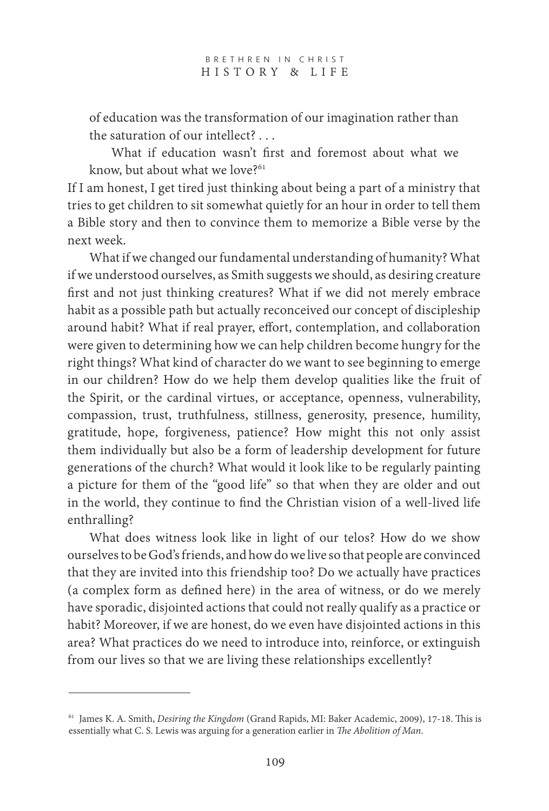of education was the transformation of our imagination rather than the saturation of our intellect?

What if education wasn't first and foremost about what we know, but about what we love?<sup>61</sup>

If I am honest, I get tired just thinking about being a part of a ministry that tries to get children to sit somewhat quietly for an hour in order to tell them a Bible story and then to convince them to memorize a Bible verse by the next week.

What if we changed our fundamental understanding of humanity? What if we understood ourselves, as Smith suggests we should, as desiring creature first and not just thinking creatures? What if we did not merely embrace habit as a possible path but actually reconceived our concept of discipleship around habit? What if real prayer, effort, contemplation, and collaboration were given to determining how we can help children become hungry for the right things? What kind of character do we want to see beginning to emerge in our children? How do we help them develop qualities like the fruit of the Spirit, or the cardinal virtues, or acceptance, openness, vulnerability, compassion, trust, truthfulness, stillness, generosity, presence, humility, gratitude, hope, forgiveness, patience? How might this not only assist them individually but also be a form of leadership development for future generations of the church? What would it look like to be regularly painting a picture for them of the "good life" so that when they are older and out in the world, they continue to find the Christian vision of a well-lived life enthralling?

What does witness look like in light of our telos? How do we show ourselves to be God's friends, and how do we live so that people are convinced that they are invited into this friendship too? Do we actually have practices (a complex form as defined here) in the area of witness, or do we merely have sporadic, disjointed actions that could not really qualify as a practice or habit? Moreover, if we are honest, do we even have disjointed actions in this area? What practices do we need to introduce into, reinforce, or extinguish from our lives so that we are living these relationships excellently?

<sup>61</sup> James K. A. Smith, *Desiring the Kingdom* (Grand Rapids, MI: Baker Academic, 2009), 17-18. "is is essentially what C. S. Lewis was arguing for a generation earlier in *The Abolition of Man*.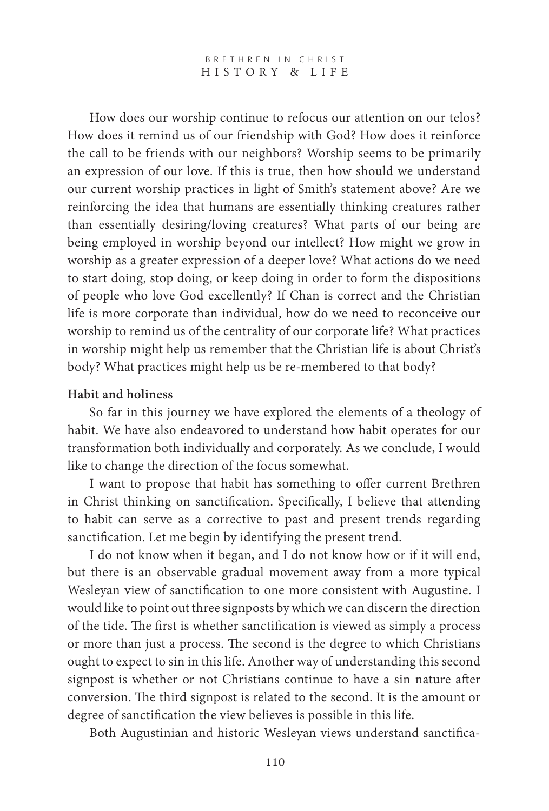How does our worship continue to refocus our attention on our telos? How does it remind us of our friendship with God? How does it reinforce the call to be friends with our neighbors? Worship seems to be primarily an expression of our love. If this is true, then how should we understand our current worship practices in light of Smith's statement above? Are we reinforcing the idea that humans are essentially thinking creatures rather than essentially desiring/loving creatures? What parts of our being are being employed in worship beyond our intellect? How might we grow in worship as a greater expression of a deeper love? What actions do we need to start doing, stop doing, or keep doing in order to form the dispositions of people who love God excellently? If Chan is correct and the Christian life is more corporate than individual, how do we need to reconceive our worship to remind us of the centrality of our corporate life? What practices in worship might help us remember that the Christian life is about Christ's body? What practices might help us be re-membered to that body?

# **Habit and holiness**

So far in this journey we have explored the elements of a theology of habit. We have also endeavored to understand how habit operates for our transformation both individually and corporately. As we conclude, I would like to change the direction of the focus somewhat.

I want to propose that habit has something to offer current Brethren in Christ thinking on sanctification. Specifically, I believe that attending to habit can serve as a corrective to past and present trends regarding sanctification. Let me begin by identifying the present trend.

I do not know when it began, and I do not know how or if it will end, but there is an observable gradual movement away from a more typical Wesleyan view of sanctification to one more consistent with Augustine. I would like to point out three signposts by which we can discern the direction of the tide. The first is whether sanctification is viewed as simply a process or more than just a process. The second is the degree to which Christians ought to expect to sin in this life. Another way of understanding this second signpost is whether or not Christians continue to have a sin nature after conversion. The third signpost is related to the second. It is the amount or degree of sanctification the view believes is possible in this life.

Both Augustinian and historic Wesleyan views understand sanctifica-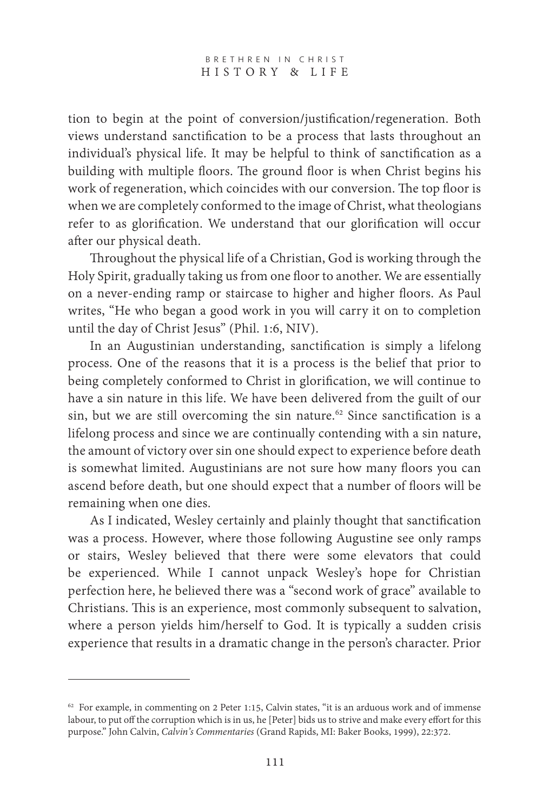tion to begin at the point of conversion/justification/regeneration. Both views understand sanctification to be a process that lasts throughout an individual's physical life. It may be helpful to think of sanctification as a building with multiple floors. The ground floor is when Christ begins his work of regeneration, which coincides with our conversion. The top floor is when we are completely conformed to the image of Christ, what theologians refer to as glorification. We understand that our glorification will occur after our physical death.

Throughout the physical life of a Christian, God is working through the Holy Spirit, gradually taking us from one floor to another. We are essentially on a never-ending ramp or staircase to higher and higher floors. As Paul writes, "He who began a good work in you will carry it on to completion until the day of Christ Jesus" (Phil. 1:6, NIV).

In an Augustinian understanding, sanctification is simply a lifelong process. One of the reasons that it is a process is the belief that prior to being completely conformed to Christ in glorification, we will continue to have a sin nature in this life. We have been delivered from the guilt of our sin, but we are still overcoming the sin nature.<sup>62</sup> Since sanctification is a lifelong process and since we are continually contending with a sin nature, the amount of victory over sin one should expect to experience before death is somewhat limited. Augustinians are not sure how many floors you can ascend before death, but one should expect that a number of floors will be remaining when one dies.

As I indicated, Wesley certainly and plainly thought that sanctification was a process. However, where those following Augustine see only ramps or stairs, Wesley believed that there were some elevators that could be experienced. While I cannot unpack Wesley's hope for Christian perfection here, he believed there was a "second work of grace" available to Christians. This is an experience, most commonly subsequent to salvation, where a person yields him/herself to God. It is typically a sudden crisis experience that results in a dramatic change in the person's character. Prior

 $62$  For example, in commenting on 2 Peter 1:15, Calvin states, "it is an arduous work and of immense labour, to put off the corruption which is in us, he [Peter] bids us to strive and make every effort for this purpose." John Calvin, *Calvin's Commentaries* (Grand Rapids, MI: Baker Books, 1999), 22:372.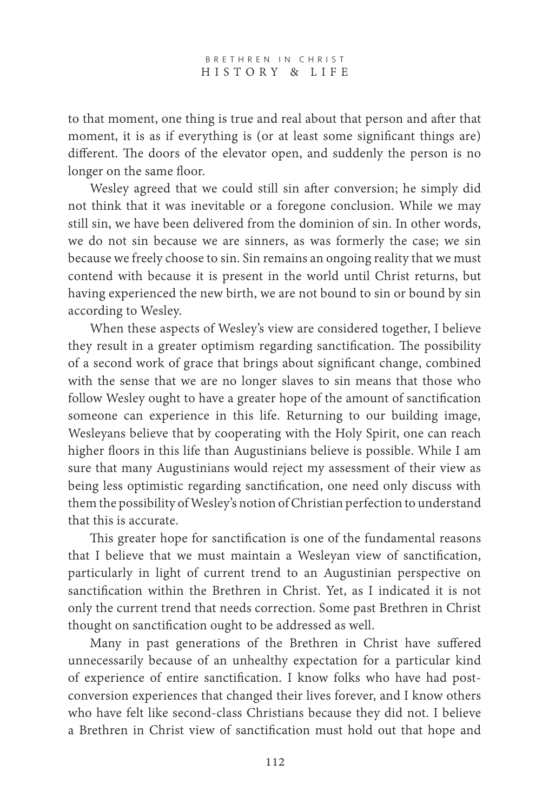to that moment, one thing is true and real about that person and after that moment, it is as if everything is (or at least some significant things are) different. The doors of the elevator open, and suddenly the person is no longer on the same floor.

Wesley agreed that we could still sin after conversion; he simply did not think that it was inevitable or a foregone conclusion. While we may still sin, we have been delivered from the dominion of sin. In other words, we do not sin because we are sinners, as was formerly the case; we sin because we freely choose to sin. Sin remains an ongoing reality that we must contend with because it is present in the world until Christ returns, but having experienced the new birth, we are not bound to sin or bound by sin according to Wesley.

When these aspects of Wesley's view are considered together, I believe they result in a greater optimism regarding sanctification. The possibility of a second work of grace that brings about significant change, combined with the sense that we are no longer slaves to sin means that those who follow Wesley ought to have a greater hope of the amount of sanctification someone can experience in this life. Returning to our building image, Wesleyans believe that by cooperating with the Holy Spirit, one can reach higher floors in this life than Augustinians believe is possible. While I am sure that many Augustinians would reject my assessment of their view as being less optimistic regarding sanctification, one need only discuss with them the possibility of Wesley's notion of Christian perfection to understand that this is accurate.

This greater hope for sanctification is one of the fundamental reasons that I believe that we must maintain a Wesleyan view of sanctification, particularly in light of current trend to an Augustinian perspective on sanctification within the Brethren in Christ. Yet, as I indicated it is not only the current trend that needs correction. Some past Brethren in Christ thought on sanctification ought to be addressed as well.

Many in past generations of the Brethren in Christ have suffered unnecessarily because of an unhealthy expectation for a particular kind of experience of entire sanctification. I know folks who have had postconversion experiences that changed their lives forever, and I know others who have felt like second-class Christians because they did not. I believe a Brethren in Christ view of sanctification must hold out that hope and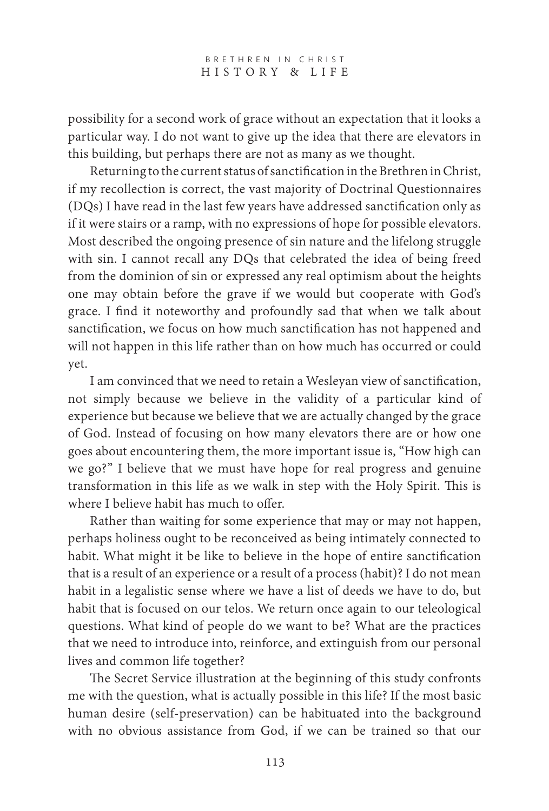possibility for a second work of grace without an expectation that it looks a particular way. I do not want to give up the idea that there are elevators in this building, but perhaps there are not as many as we thought.

Returning to the current status of sanctification in the Brethren in Christ, if my recollection is correct, the vast majority of Doctrinal Questionnaires  $(DQs)$  I have read in the last few years have addressed sanctification only as if it were stairs or a ramp, with no expressions of hope for possible elevators. Most described the ongoing presence of sin nature and the lifelong struggle with sin. I cannot recall any DQs that celebrated the idea of being freed from the dominion of sin or expressed any real optimism about the heights one may obtain before the grave if we would but cooperate with God's grace. I find it noteworthy and profoundly sad that when we talk about sanctification, we focus on how much sanctification has not happened and will not happen in this life rather than on how much has occurred or could yet.

I am convinced that we need to retain a Wesleyan view of sanctification, not simply because we believe in the validity of a particular kind of experience but because we believe that we are actually changed by the grace of God. Instead of focusing on how many elevators there are or how one goes about encountering them, the more important issue is, "How high can we go?" I believe that we must have hope for real progress and genuine transformation in this life as we walk in step with the Holy Spirit. This is where I believe habit has much to offer.

Rather than waiting for some experience that may or may not happen, perhaps holiness ought to be reconceived as being intimately connected to habit. What might it be like to believe in the hope of entire sanctification that is a result of an experience or a result of a process (habit)? I do not mean habit in a legalistic sense where we have a list of deeds we have to do, but habit that is focused on our telos. We return once again to our teleological questions. What kind of people do we want to be? What are the practices that we need to introduce into, reinforce, and extinguish from our personal lives and common life together?

The Secret Service illustration at the beginning of this study confronts me with the question, what is actually possible in this life? If the most basic human desire (self-preservation) can be habituated into the background with no obvious assistance from God, if we can be trained so that our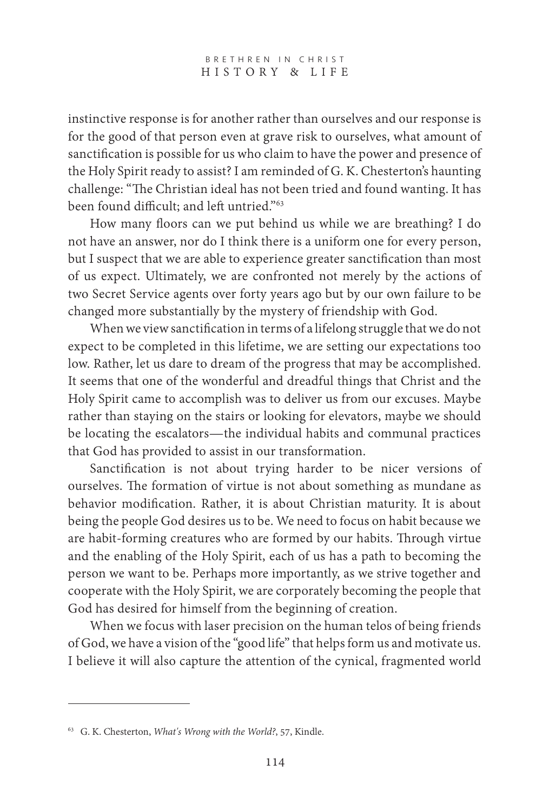#### BRETHREN IN CHRIST HISTORY & L I F E

instinctive response is for another rather than ourselves and our response is for the good of that person even at grave risk to ourselves, what amount of sanctification is possible for us who claim to have the power and presence of the Holy Spirit ready to assist? I am reminded of G. K. Chesterton's haunting challenge: "The Christian ideal has not been tried and found wanting. It has been found difficult; and left untried."<sup>63</sup>

How many floors can we put behind us while we are breathing? I do not have an answer, nor do I think there is a uniform one for every person, but I suspect that we are able to experience greater sanctification than most of us expect. Ultimately, we are confronted not merely by the actions of two Secret Service agents over forty years ago but by our own failure to be changed more substantially by the mystery of friendship with God.

When we view sanctification in terms of a lifelong struggle that we do not expect to be completed in this lifetime, we are setting our expectations too low. Rather, let us dare to dream of the progress that may be accomplished. It seems that one of the wonderful and dreadful things that Christ and the Holy Spirit came to accomplish was to deliver us from our excuses. Maybe rather than staying on the stairs or looking for elevators, maybe we should be locating the escalators—the individual habits and communal practices that God has provided to assist in our transformation.

Sanctification is not about trying harder to be nicer versions of ourselves. The formation of virtue is not about something as mundane as behavior modification. Rather, it is about Christian maturity. It is about being the people God desires us to be. We need to focus on habit because we are habit-forming creatures who are formed by our habits. Through virtue and the enabling of the Holy Spirit, each of us has a path to becoming the person we want to be. Perhaps more importantly, as we strive together and cooperate with the Holy Spirit, we are corporately becoming the people that God has desired for himself from the beginning of creation.

When we focus with laser precision on the human telos of being friends of God, we have a vision of the "good life" that helps form us and motivate us. I believe it will also capture the attention of the cynical, fragmented world

<sup>63</sup> G. K. Chesterton, *What's Wrong with the World?*, 57, Kindle.